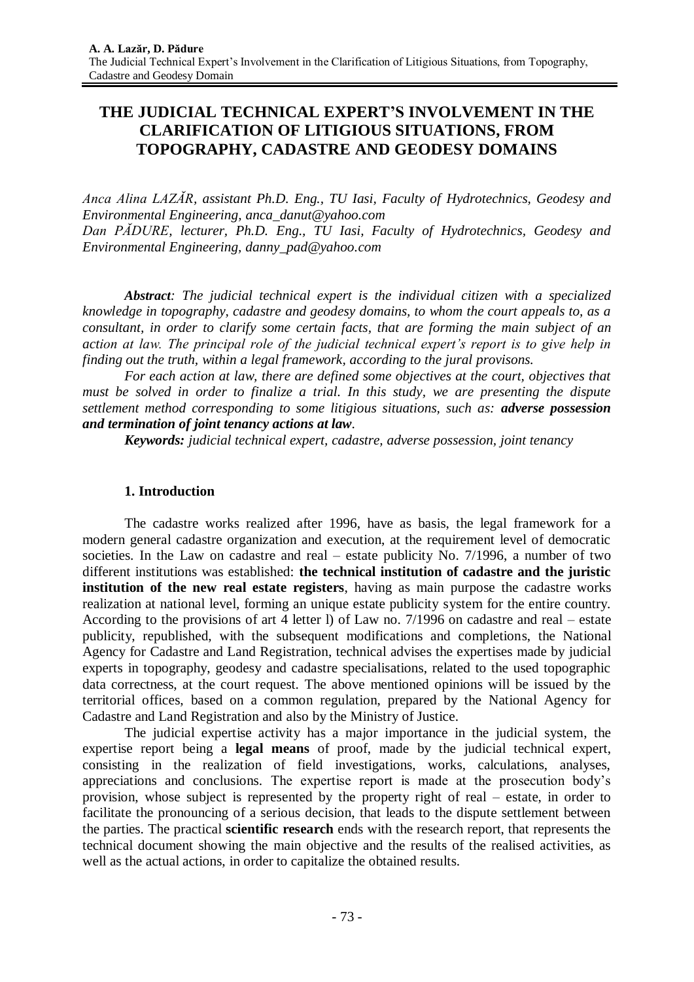# **THE JUDICIAL TECHNICAL EXPERT'S INVOLVEMENT IN THE CLARIFICATION OF LITIGIOUS SITUATIONS, FROM TOPOGRAPHY, CADASTRE AND GEODESY DOMAINS**

*Anca Alina LAZĂR, assistant Ph.D. Eng., TU Iasi, Faculty of Hydrotechnics, Geodesy and Environmental Engineering, anca\_danut@yahoo.com Dan PĂDURE, lecturer, Ph.D. Eng., TU Iasi, Faculty of Hydrotechnics, Geodesy and Environmental Engineering, danny\_pad@yahoo.com*

*Abstract: The judicial technical expert is the individual citizen with a specialized knowledge in topography, cadastre and geodesy domains, to whom the court appeals to, as a consultant, in order to clarify some certain facts, that are forming the main subject of an action at law. The principal role of the judicial technical expert's report is to give help in finding out the truth, within a legal framework, according to the jural provisons.*

*For each action at law, there are defined some objectives at the court, objectives that must be solved in order to finalize a trial. In this study, we are presenting the dispute settlement method corresponding to some litigious situations, such as: adverse possession and termination of joint tenancy actions at law.*

*Keywords: judicial technical expert, cadastre, adverse possession, joint tenancy*

## **1. Introduction**

The cadastre works realized after 1996, have as basis, the legal framework for a modern general cadastre organization and execution, at the requirement level of democratic societies. In the Law on cadastre and real – estate publicity No. 7/1996, a number of two different institutions was established: **the technical institution of cadastre and the juristic institution of the new real estate registers**, having as main purpose the cadastre works realization at national level, forming an unique estate publicity system for the entire country. According to the provisions of art 4 letter l) of Law no. 7/1996 on cadastre and real – estate publicity, republished, with the subsequent modifications and completions, the National Agency for Cadastre and Land Registration, technical advises the expertises made by judicial experts in topography, geodesy and cadastre specialisations, related to the used topographic data correctness, at the court request. The above mentioned opinions will be issued by the territorial offices, based on a common regulation, prepared by the National Agency for Cadastre and Land Registration and also by the Ministry of Justice.

The judicial expertise activity has a major importance in the judicial system, the expertise report being a **legal means** of proof, made by the judicial technical expert, consisting in the realization of field investigations, works, calculations, analyses, appreciations and conclusions. The expertise report is made at the prosecution body's provision, whose subject is represented by the property right of real – estate, in order to facilitate the pronouncing of a serious decision, that leads to the dispute settlement between the parties. The practical **scientific research** ends with the research report, that represents the technical document showing the main objective and the results of the realised activities, as well as the actual actions, in order to capitalize the obtained results.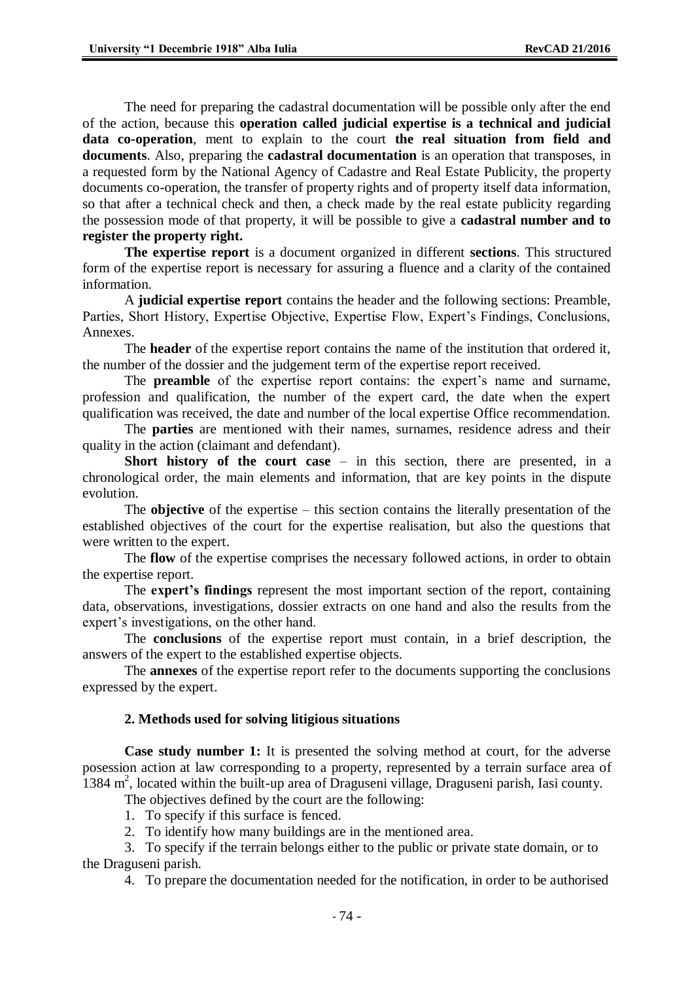The need for preparing the cadastral documentation will be possible only after the end of the action, because this **operation called judicial expertise is a technical and judicial data co-operation**, ment to explain to the court **the real situation from field and documents**. Also, preparing the **cadastral documentation** is an operation that transposes, in a requested form by the National Agency of Cadastre and Real Estate Publicity, the property documents co-operation, the transfer of property rights and of property itself data information, so that after a technical check and then, a check made by the real estate publicity regarding the possession mode of that property, it will be possible to give a **cadastral number and to register the property right.**

**The expertise report** is a document organized in different **sections**. This structured form of the expertise report is necessary for assuring a fluence and a clarity of the contained information.

A **judicial expertise report** contains the header and the following sections: Preamble, Parties, Short History, Expertise Objective, Expertise Flow, Expert's Findings, Conclusions, Annexes.

The **header** of the expertise report contains the name of the institution that ordered it, the number of the dossier and the judgement term of the expertise report received.

The **preamble** of the expertise report contains: the expert's name and surname, profession and qualification, the number of the expert card, the date when the expert qualification was received, the date and number of the local expertise Office recommendation.

The **parties** are mentioned with their names, surnames, residence adress and their quality in the action (claimant and defendant).

**Short history of the court case** – in this section, there are presented, in a chronological order, the main elements and information, that are key points in the dispute evolution.

The **objective** of the expertise – this section contains the literally presentation of the established objectives of the court for the expertise realisation, but also the questions that were written to the expert.

The **flow** of the expertise comprises the necessary followed actions, in order to obtain the expertise report.

The **expert's findings** represent the most important section of the report, containing data, observations, investigations, dossier extracts on one hand and also the results from the expert's investigations, on the other hand.

The **conclusions** of the expertise report must contain, in a brief description, the answers of the expert to the established expertise objects.

The **annexes** of the expertise report refer to the documents supporting the conclusions expressed by the expert.

### **2. Methods used for solving litigious situations**

**Case study number 1:** It is presented the solving method at court, for the adverse posession action at law corresponding to a property, represented by a terrain surface area of 1384 m<sup>2</sup>, located within the built-up area of Draguseni village, Draguseni parish, Iasi county.

The objectives defined by the court are the following:

1. To specify if this surface is fenced.

2. To identify how many buildings are in the mentioned area.

3. To specify if the terrain belongs either to the public or private state domain, or to the Draguseni parish.

4. To prepare the documentation needed for the notification, in order to be authorised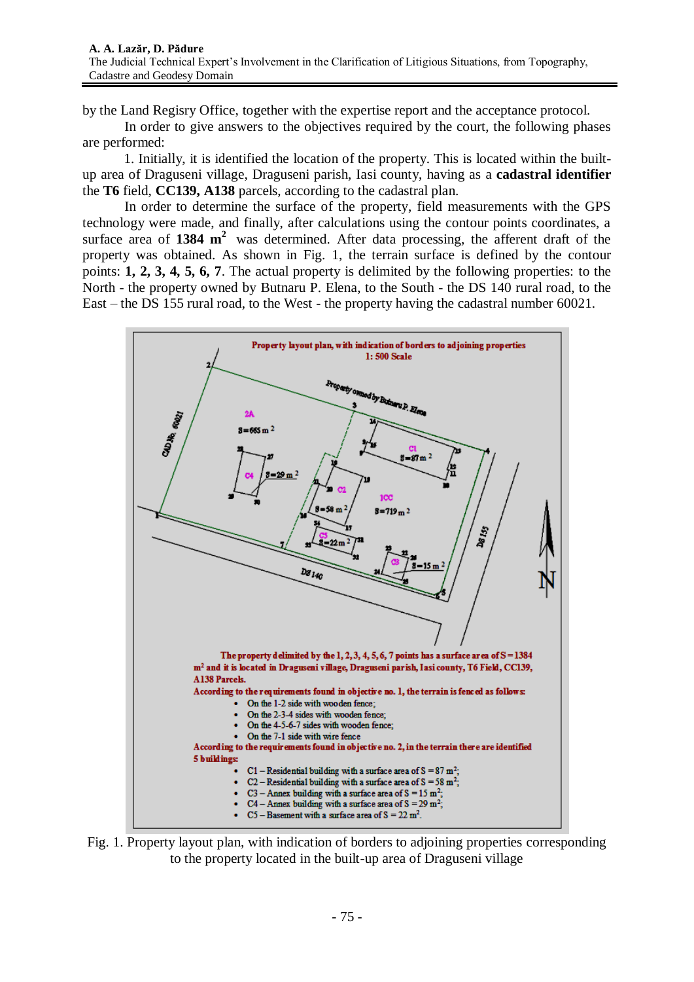by the Land Regisry Office, together with the expertise report and the acceptance protocol.

In order to give answers to the objectives required by the court, the following phases are performed:

1. Initially, it is identified the location of the property. This is located within the builtup area of Draguseni village, Draguseni parish, Iasi county, having as a **cadastral identifier** the **T6** field, **CC139, A138** parcels, according to the cadastral plan.

In order to determine the surface of the property, field measurements with the GPS technology were made, and finally, after calculations using the contour points coordinates, a surface area of 1384 m<sup>2</sup> was determined. After data processing, the afferent draft of the property was obtained. As shown in Fig. 1, the terrain surface is defined by the contour points: **1, 2, 3, 4, 5, 6, 7**. The actual property is delimited by the following properties: to the North - the property owned by Butnaru P. Elena, to the South - the DS 140 rural road, to the East – the DS 155 rural road, to the West - the property having the cadastral number 60021.



Fig. 1. Property layout plan, with indication of borders to adjoining properties corresponding to the property located in the built-up area of Draguseni village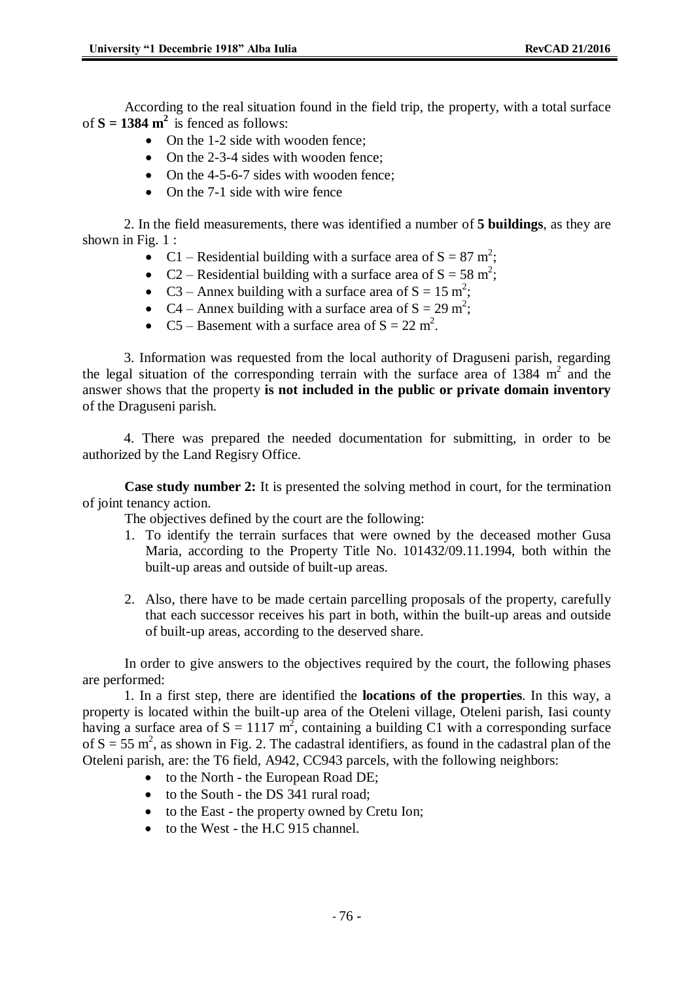According to the real situation found in the field trip, the property, with a total surface of  $S = 1384 \text{ m}^2$  is fenced as follows:

- On the 1-2 side with wooden fence:
- On the 2-3-4 sides with wooden fence;
- On the 4-5-6-7 sides with wooden fence:
- On the 7-1 side with wire fence

2. In the field measurements, there was identified a number of **5 buildings**, as they are shown in Fig. 1 :

- C1 Residential building with a surface area of  $S = 87$  m<sup>2</sup>;
- C2 Residential building with a surface area of  $S = 58$  m<sup>2</sup>;
- C3 Annex building with a surface area of  $S = 15$  m<sup>2</sup>;
- C4 Annex building with a surface area of  $S = 29$  m<sup>2</sup>;
- C5 Basement with a surface area of  $S = 22$  m<sup>2</sup>.

3. Information was requested from the local authority of Draguseni parish, regarding the legal situation of the corresponding terrain with the surface area of  $1384 \text{ m}^2$  and the answer shows that the property **is not included in the public or private domain inventory** of the Draguseni parish.

4. There was prepared the needed documentation for submitting, in order to be authorized by the Land Regisry Office.

**Case study number 2:** It is presented the solving method in court, for the termination of joint tenancy action.

The objectives defined by the court are the following:

- 1. To identify the terrain surfaces that were owned by the deceased mother Gusa Maria, according to the Property Title No. 101432/09.11.1994, both within the built-up areas and outside of built-up areas.
- 2. Also, there have to be made certain parcelling proposals of the property, carefully that each successor receives his part in both, within the built-up areas and outside of built-up areas, according to the deserved share.

In order to give answers to the objectives required by the court, the following phases are performed:

1. In a first step, there are identified the **locations of the properties**. In this way, a property is located within the built-up area of the Oteleni village, Oteleni parish, Iasi county having a surface area of  $S = 1117 \text{ m}^2$ , containing a building C1 with a corresponding surface of  $S = 55$  m<sup>2</sup>, as shown in Fig. 2. The cadastral identifiers, as found in the cadastral plan of the Oteleni parish, are: the T6 field, A942, CC943 parcels, with the following neighbors:

- to the North the European Road DE:
- to the South the DS 341 rural road;
- to the East the property owned by Cretu Ion;
- $\bullet$  to the West the H.C 915 channel.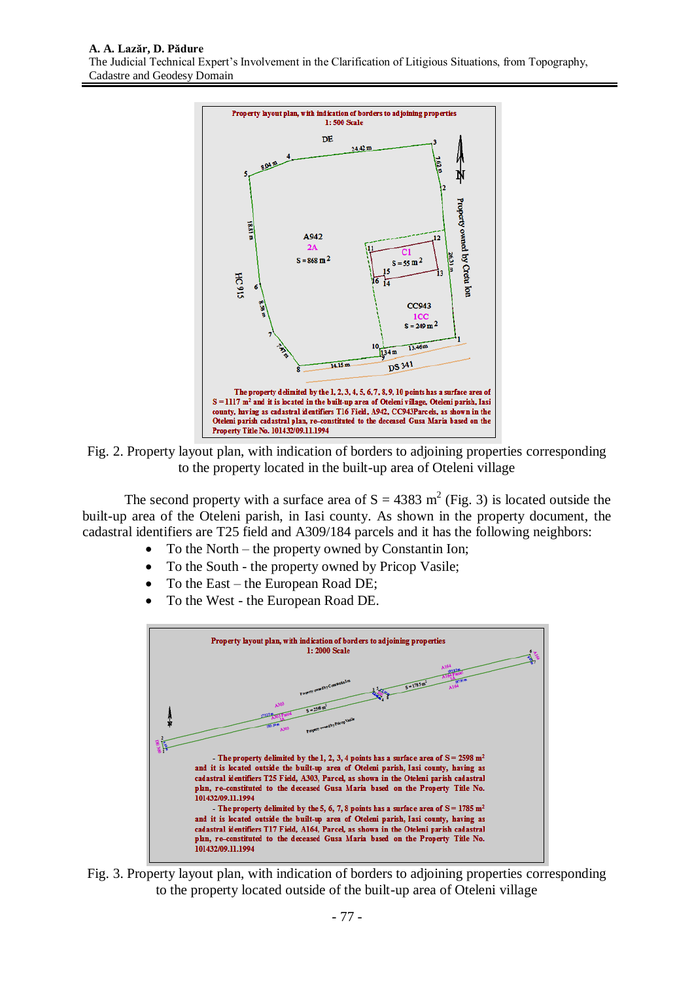

Fig. 2. Property layout plan, with indication of borders to adjoining properties corresponding to the property located in the built-up area of Oteleni village

The second property with a surface area of  $S = 4383$  m<sup>2</sup> (Fig. 3) is located outside the built-up area of the Oteleni parish, in Iasi county. As shown in the property document, the cadastral identifiers are T25 field and A309/184 parcels and it has the following neighbors:

- To the North the property owned by Constantin Ion;
- To the South the property owned by Pricop Vasile;
- To the East the European Road DE;
- To the West the European Road DE.



Fig. 3. Property layout plan, with indication of borders to adjoining properties corresponding to the property located outside of the built-up area of Oteleni village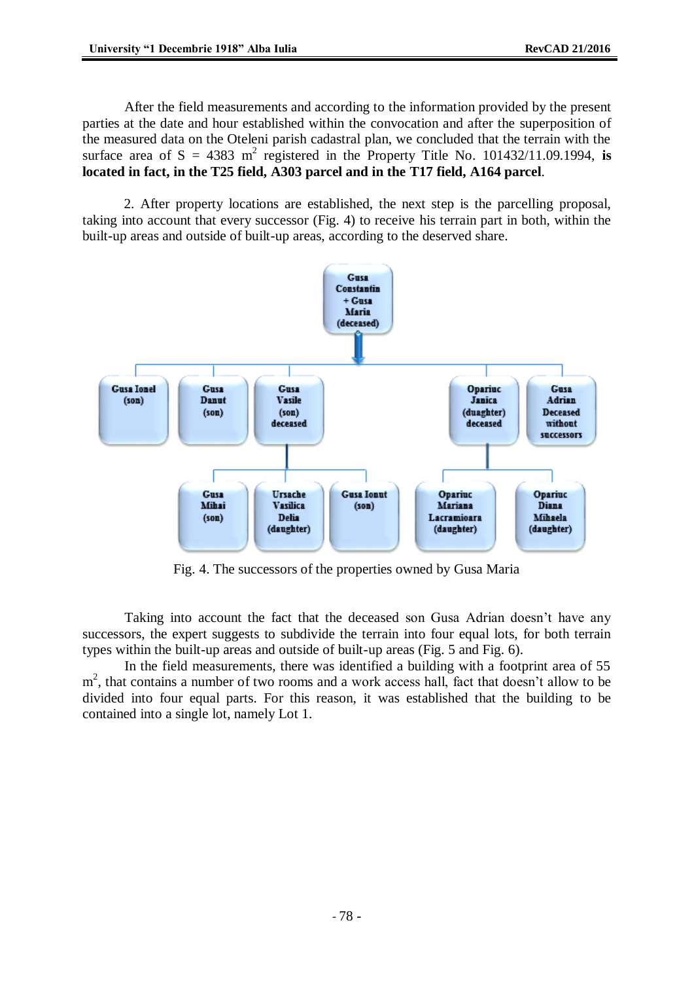After the field measurements and according to the information provided by the present parties at the date and hour established within the convocation and after the superposition of the measured data on the Oteleni parish cadastral plan, we concluded that the terrain with the surface area of  $S = 4383$  m<sup>2</sup> registered in the Property Title No. 101432/11.09.1994, is **located in fact, in the T25 field, A303 parcel and in the T17 field, A164 parcel**.

2. After property locations are established, the next step is the parcelling proposal, taking into account that every successor (Fig. 4) to receive his terrain part in both, within the built-up areas and outside of built-up areas, according to the deserved share.



Fig. 4. The successors of the properties owned by Gusa Maria

Taking into account the fact that the deceased son Gusa Adrian doesn't have any successors, the expert suggests to subdivide the terrain into four equal lots, for both terrain types within the built-up areas and outside of built-up areas (Fig. 5 and Fig. 6).

In the field measurements, there was identified a building with a footprint area of 55 m<sup>2</sup>, that contains a number of two rooms and a work access hall, fact that doesn't allow to be divided into four equal parts. For this reason, it was established that the building to be contained into a single lot, namely Lot 1.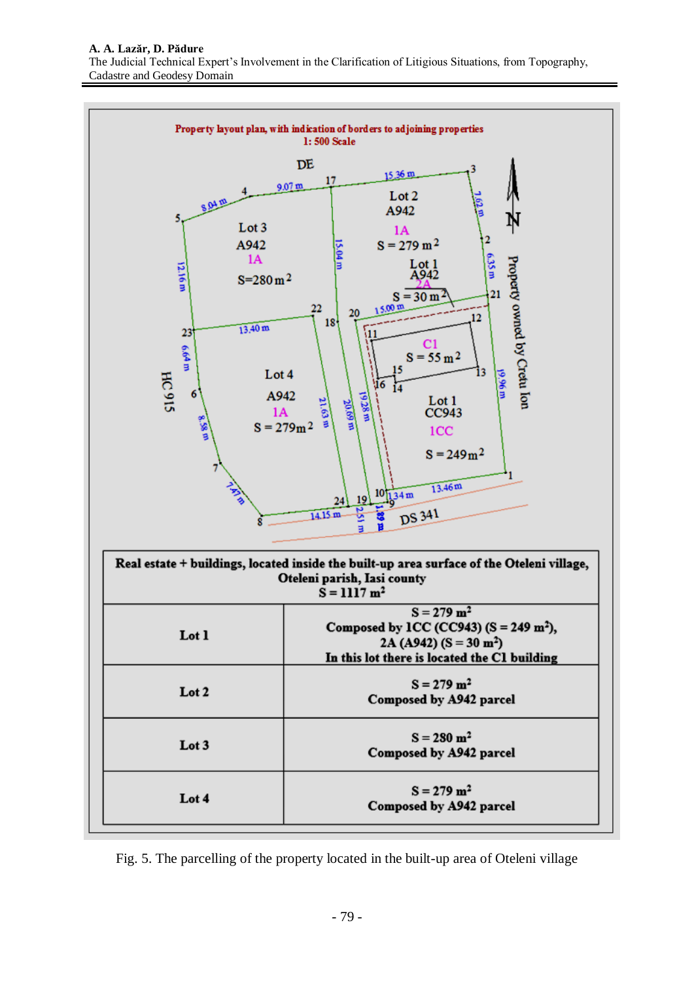

Fig. 5. The parcelling of the property located in the built-up area of Oteleni village